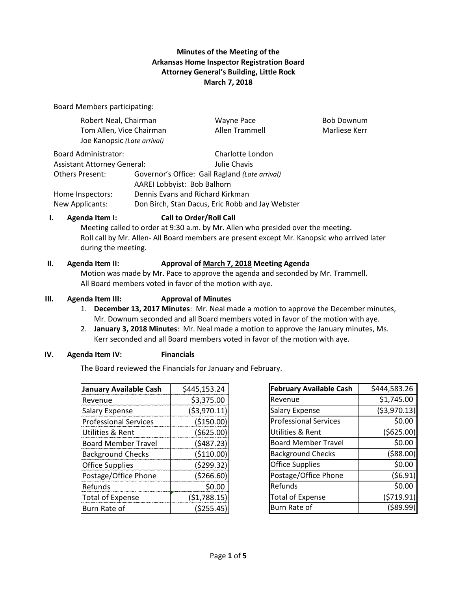# **Minutes of the Meeting of the Arkansas Home Inspector Registration Board Attorney General's Building, Little Rock March 7, 2018**

Board Members participating:

| Robert Neal, Chairman                                   |                                                  | Wayne Pace        | <b>Bob Downum</b> |
|---------------------------------------------------------|--------------------------------------------------|-------------------|-------------------|
| Tom Allen, Vice Chairman<br>Joe Kanopsic (Late arrival) |                                                  | Allen Trammell    | Marliese Kerr     |
| Board Administrator:                                    |                                                  | Charlotte London  |                   |
| <b>Assistant Attorney General:</b>                      |                                                  | Julie Chavis      |                   |
| <b>Others Present:</b>                                  | Governor's Office: Gail Ragland (Late arrival)   |                   |                   |
|                                                         | AAREI Lobbyist: Bob Balhorn                      |                   |                   |
| Home Inspectors:                                        | Dennis Evans and Richard Kirkman                 |                   |                   |
| New Applicants:                                         | Don Birch, Stan Dacus, Eric Robb and Jay Webster |                   |                   |
|                                                         |                                                  | - - - - - - - - - |                   |

## **I. Agenda Item I: Call to Order/Roll Call**

Meeting called to order at 9:30 a.m. by Mr. Allen who presided over the meeting. Roll call by Mr. Allen- All Board members are present except Mr. Kanopsic who arrived later during the meeting.

### **II. Agenda Item II: Approval of March 7, 2018 Meeting Agenda**

Motion was made by Mr. Pace to approve the agenda and seconded by Mr. Trammell. All Board members voted in favor of the motion with aye.

## **III. Agenda Item III: Approval of Minutes**

- 1. **December 13, 2017 Minutes**: Mr. Neal made a motion to approve the December minutes, Mr. Downum seconded and all Board members voted in favor of the motion with aye.
- 2. **January 3, 2018 Minutes**: Mr. Neal made a motion to approve the January minutes, Ms. Kerr seconded and all Board members voted in favor of the motion with aye.

### **IV. Agenda Item IV: Financials**

The Board reviewed the Financials for January and February.

| <b>January Available Cash</b> | \$445,153.24  |
|-------------------------------|---------------|
| Revenue                       | \$3,375.00    |
| <b>Salary Expense</b>         | ( \$3,970.11) |
| <b>Professional Services</b>  | (\$150.00)    |
| Utilities & Rent              | (5625.00)     |
| <b>Board Member Travel</b>    | (5487.23)     |
| <b>Background Checks</b>      | ( \$110.00)   |
| <b>Office Supplies</b>        | (5299.32)     |
| Postage/Office Phone          | ( \$266.60)   |
| Refunds                       | \$0.00        |
| <b>Total of Expense</b>       | (51,788.15)   |
| <b>Burn Rate of</b>           | ( \$255.45)   |

| <b>February Available Cash</b> | \$444,583.26  |
|--------------------------------|---------------|
| Revenue                        | \$1,745.00    |
| <b>Salary Expense</b>          | ( \$3,970.13) |
| <b>Professional Services</b>   | \$0.00        |
| Utilities & Rent               | ( \$625.00)   |
| <b>Board Member Travel</b>     | \$0.00        |
| <b>Background Checks</b>       | (588.00)      |
| <b>Office Supplies</b>         | \$0.00        |
| Postage/Office Phone           | (56.91)       |
| Refunds                        | \$0.00        |
| <b>Total of Expense</b>        | (5719.91)     |
| Burn Rate of                   | (\$89.99      |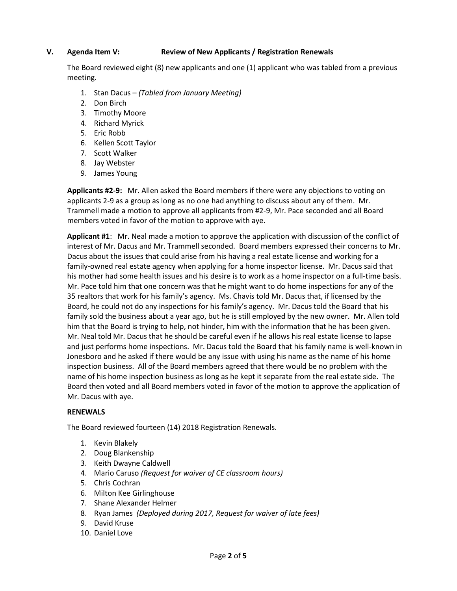## **V. Agenda Item V: Review of New Applicants / Registration Renewals**

The Board reviewed eight (8) new applicants and one (1) applicant who was tabled from a previous meeting.

- 1. Stan Dacus *(Tabled from January Meeting)*
- 2. Don Birch
- 3. Timothy Moore
- 4. Richard Myrick
- 5. Eric Robb
- 6. Kellen Scott Taylor
- 7. Scott Walker
- 8. Jay Webster
- 9. James Young

**Applicants #2-9:** Mr. Allen asked the Board members if there were any objections to voting on applicants 2-9 as a group as long as no one had anything to discuss about any of them. Mr. Trammell made a motion to approve all applicants from #2-9, Mr. Pace seconded and all Board members voted in favor of the motion to approve with aye.

**Applicant #1**: Mr. Neal made a motion to approve the application with discussion of the conflict of interest of Mr. Dacus and Mr. Trammell seconded. Board members expressed their concerns to Mr. Dacus about the issues that could arise from his having a real estate license and working for a family-owned real estate agency when applying for a home inspector license. Mr. Dacus said that his mother had some health issues and his desire is to work as a home inspector on a full-time basis. Mr. Pace told him that one concern was that he might want to do home inspections for any of the 35 realtors that work for his family's agency. Ms. Chavis told Mr. Dacus that, if licensed by the Board, he could not do any inspections for his family's agency. Mr. Dacus told the Board that his family sold the business about a year ago, but he is still employed by the new owner. Mr. Allen told him that the Board is trying to help, not hinder, him with the information that he has been given. Mr. Neal told Mr. Dacus that he should be careful even if he allows his real estate license to lapse and just performs home inspections. Mr. Dacus told the Board that his family name is well-known in Jonesboro and he asked if there would be any issue with using his name as the name of his home inspection business. All of the Board members agreed that there would be no problem with the name of his home inspection business as long as he kept it separate from the real estate side. The Board then voted and all Board members voted in favor of the motion to approve the application of Mr. Dacus with aye.

### **RENEWALS**

The Board reviewed fourteen (14) 2018 Registration Renewals.

- 1. Kevin Blakely
- 2. Doug Blankenship
- 3. Keith Dwayne Caldwell
- 4. Mario Caruso *(Request for waiver of CE classroom hours)*
- 5. Chris Cochran
- 6. Milton Kee Girlinghouse
- 7. Shane Alexander Helmer
- 8. Ryan James *(Deployed during 2017, Request for waiver of late fees)*
- 9. David Kruse
- 10. Daniel Love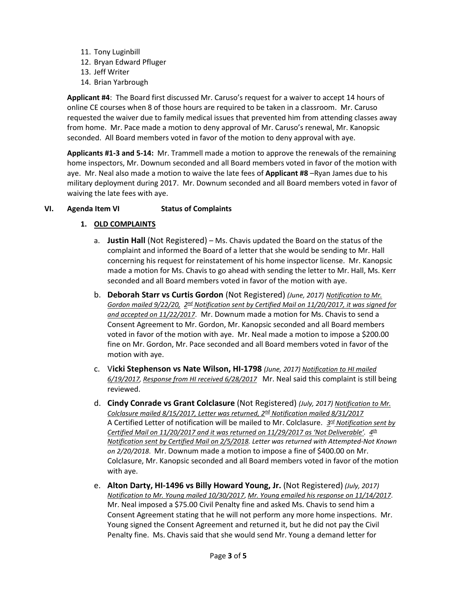- 11. Tony Luginbill 12. Bryan Edward Pfluger
- 13. Jeff Writer
- 14. Brian Yarbrough

**Applicant #4**: The Board first discussed Mr. Caruso's request for a waiver to accept 14 hours of online CE courses when 8 of those hours are required to be taken in a classroom. Mr. Caruso requested the waiver due to family medical issues that prevented him from attending classes away from home. Mr. Pace made a motion to deny approval of Mr. Caruso's renewal, Mr. Kanopsic seconded. All Board members voted in favor of the motion to deny approval with aye.

**Applicants #1-3 and 5-14:** Mr. Trammell made a motion to approve the renewals of the remaining home inspectors, Mr. Downum seconded and all Board members voted in favor of the motion with aye. Mr. Neal also made a motion to waive the late fees of **Applicant #8** –Ryan James due to his military deployment during 2017. Mr. Downum seconded and all Board members voted in favor of waiving the late fees with aye.

# **VI. Agenda Item VI Status of Complaints**

# **1. OLD COMPLAINTS**

- a. **Justin Hall** (Not Registered) Ms. Chavis updated the Board on the status of the complaint and informed the Board of a letter that she would be sending to Mr. Hall concerning his request for reinstatement of his home inspector license. Mr. Kanopsic made a motion for Ms. Chavis to go ahead with sending the letter to Mr. Hall, Ms. Kerr seconded and all Board members voted in favor of the motion with aye.
- b. **Deborah Starr vs Curtis Gordon** (Not Registered) *(June, 2017) Notification to Mr. Gordon mailed 9/22/20, 2nd Notification sent by Certified Mail on 11/20/2017, it was signed for and accepted on 11/22/2017*. Mr. Downum made a motion for Ms. Chavis to send a Consent Agreement to Mr. Gordon, Mr. Kanopsic seconded and all Board members voted in favor of the motion with aye. Mr. Neal made a motion to impose a \$200.00 fine on Mr. Gordon, Mr. Pace seconded and all Board members voted in favor of the motion with aye.
- c. V**icki Stephenson vs Nate Wilson, HI-1798** *(June, 2017) Notification to HI mailed 6/19/2017, Response from HI received 6/28/2017* Mr. Neal said this complaint is still being reviewed.
- d. **Cindy Conrade vs Grant Colclasure** (Not Registered) *(July, 2017) Notification to Mr. Colclasure mailed 8/15/2017, Letter was returned, 2nd Notification mailed 8/31/2017* A Certified Letter of notification will be mailed to Mr. Colclasure. *3rd Notification sent by Certified Mail on 11/20/2017 and it was returned on 11/29/2017 as 'Not Deliverable'. 4th Notification sent by Certified Mail on 2/5/2018. Letter was returned with Attempted-Not Known on 2/20/2018*. Mr. Downum made a motion to impose a fine of \$400.00 on Mr. Colclasure, Mr. Kanopsic seconded and all Board members voted in favor of the motion with aye.
- e. **Alton Darty, HI-1496 vs Billy Howard Young, Jr.** (Not Registered) *(July, 2017) Notification to Mr. Young mailed 10/30/2017*, *Mr. Young emailed his response on 11/14/2017*. Mr. Neal imposed a \$75.00 Civil Penalty fine and asked Ms. Chavis to send him a Consent Agreement stating that he will not perform any more home inspections. Mr. Young signed the Consent Agreement and returned it, but he did not pay the Civil Penalty fine. Ms. Chavis said that she would send Mr. Young a demand letter for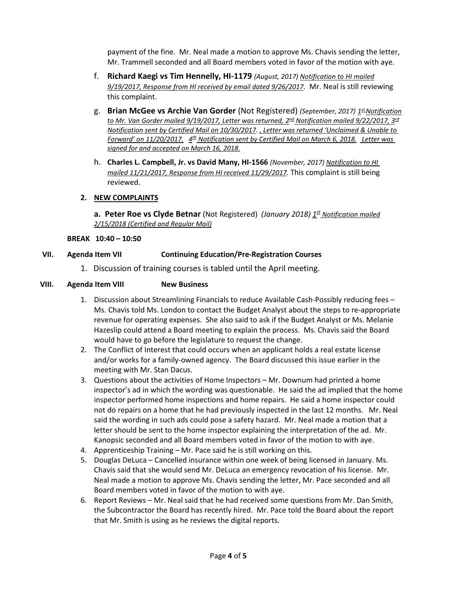payment of the fine. Mr. Neal made a motion to approve Ms. Chavis sending the letter, Mr. Trammell seconded and all Board members voted in favor of the motion with aye.

- f. **Richard Kaegi vs Tim Hennelly, HI-1179** *(August, 2017) Notification to HI mailed 9/19/2017, Response from HI received by email dated 9/26/2017*. Mr. Neal is still reviewing this complaint.
- g. **Brian McGee vs Archie Van Gorder** (Not Registered) *(September, 2017)* 1st Notification *to Mr. Van Gorder mailed 9/19/2017, Letter was returned, 2nd Notification mailed 9/22/2017, 3rd Notification sent by Certified Mail on 10/30/2017. , Letter was returned 'Unclaimed & Unable to Forward' on 11/20/2017. 4th Notification sent by Certified Mail on March 6, 2018. Letter was signed for and accepted on March 16, 2018.*
- h. **Charles L. Campbell, Jr. vs David Many, HI-1566** *(November, 2017) Notification to HI mailed 11/21/2017, Response from HI received 11/29/2017.* This complaint is still being reviewed.

## **2. NEW COMPLAINTS**

**a. Peter Roe vs Clyde Betnar** (Not Registered) *(January 2018)* 1<sup>st</sup> Notification mailed *2/15/2018 (Certified and Regular Mail)*

### **BREAK 10:40 – 10:50**

## **VII. Agenda Item VII Continuing Education/Pre-Registration Courses**

1. Discussion of training courses is tabled until the April meeting.

### **VIII. Agenda Item VIII New Business**

- 1. Discussion about Streamlining Financials to reduce Available Cash-Possibly reducing fees Ms. Chavis told Ms. London to contact the Budget Analyst about the steps to re-appropriate revenue for operating expenses. She also said to ask if the Budget Analyst or Ms. Melanie Hazeslip could attend a Board meeting to explain the process. Ms. Chavis said the Board would have to go before the legislature to request the change.
- 2. The Conflict of Interest that could occurs when an applicant holds a real estate license and/or works for a family-owned agency. The Board discussed this issue earlier in the meeting with Mr. Stan Dacus.
- 3. Questions about the activities of Home Inspectors Mr. Downum had printed a home inspector's ad in which the wording was questionable. He said the ad implied that the home inspector performed home inspections and home repairs. He said a home inspector could not do repairs on a home that he had previously inspected in the last 12 months. Mr. Neal said the wording in such ads could pose a safety hazard. Mr. Neal made a motion that a letter should be sent to the home inspector explaining the interpretation of the ad. Mr. Kanopsic seconded and all Board members voted in favor of the motion to with aye.
- 4. Apprenticeship Training Mr. Pace said he is still working on this.
- 5. Douglas DeLuca Cancelled insurance within one week of being licensed in January. Ms. Chavis said that she would send Mr. DeLuca an emergency revocation of his license. Mr. Neal made a motion to approve Ms. Chavis sending the letter, Mr. Pace seconded and all Board members voted in favor of the motion to with aye.
- 6. Report Reviews Mr. Neal said that he had received some questions from Mr. Dan Smith, the Subcontractor the Board has recently hired. Mr. Pace told the Board about the report that Mr. Smith is using as he reviews the digital reports.